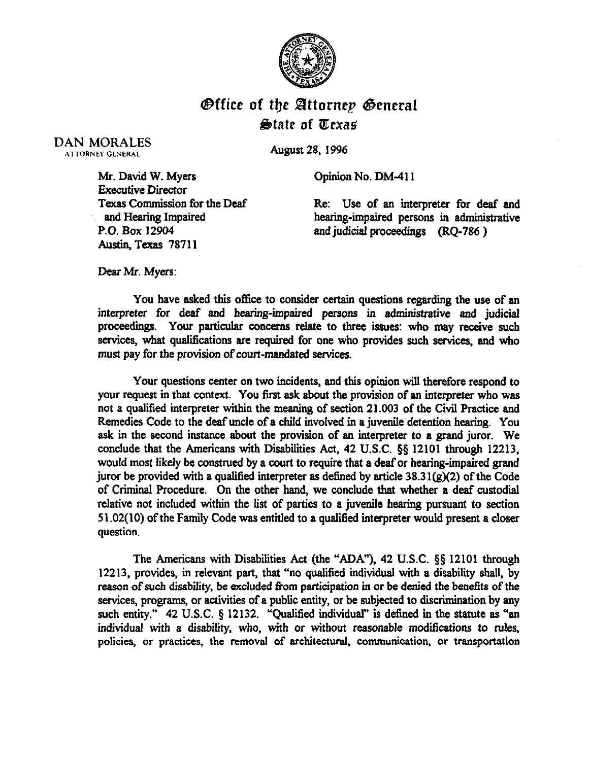

## $\Theta$ ffice of the Attornep General  $\triangle$ tate of Texas

DAN MORALES **ATTORNEY GENERAL** 

August 28, 1996

Opinion No. DM-411

Mr. David W. Myers Executive Director Texas Commission for the Deaf and Hearing Impaired P.O. Box 12904 Austin, Texas 78711

Re: Use of an interpreter for deaf and hearing-impaired persons in administrative and judicial proceedings (RQ-786 )

Dear Mr. Myers:

You have asked this office to consider certain questions regarding the use of an interpreter for deaf and hearing-impaired persons in administrative and judicial proceedings. Your particular concerns relate to three issues: who may receive such services, what qualifications are required for one who provides such services, and who must pay for the provision of court-mandated services.

Your questions center on two incidents, and this opinion will therefore respond to your request in that context. You first ask about the provision of an interpreter who was not a qualified interpreter within the meaning of section 21.003 of the Civil Practice and Remedies Code to the deaf uncle of a child involved in a juvenile detention hearing. You ask in the second instance about the provision of an interpreter to a grand juror. We conclude that the Americans with Disabilities Act, 42 U.S.C. §§ 12101 through 12213, would most likely be construed by a court to require that a deafor hearing-impaired grand juror be provided with a qualified interpreter as defined by article  $38.31(g)(2)$  of the Code of Criminal Procedure. On the other hand, we conclude that whether a deaf custodial relative not included within the list of parties to a juvenile hearing pursuant to section 51.02( 10) of the Family Code was entitled to a qualified interpreter would present a closer question.

The Americans with Disabilities Act (the "ADA"), 42 U.S.C.  $\S\S$  12101 through 12213, provides, in relevant part, that "no qualified individual with a disability shall, by reason of such disabiity, be excluded from participation in or be denied the benefits of the services, programs, or activities of a public entity, or be subjected to discrimination by any such entity."  $42 \text{ U.S.C. }$   $\S$  12132. "Qualified individual" is defined in the statute as "an individual with a disability, who, with or without reasonable modifications to rules. policies, or practices, the removal of architectural, communication, or transportation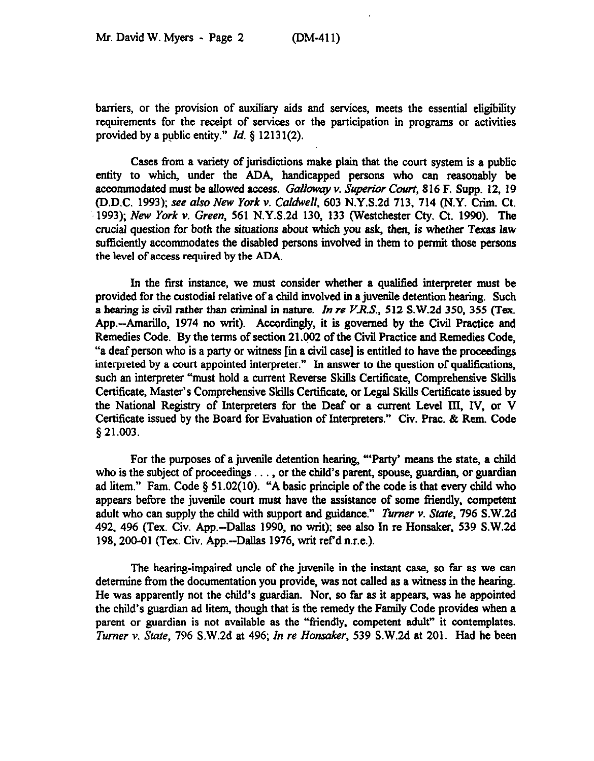barriers, or the provision of auxiliary aids and services, meets the essential eligibility requirements for the receipt of services or the participation in programs or activities provided by a public entity."  $Id. \S$  12131(2).

Cases from a variety of jurisdictions make plain that the court system is a public entity to which, under the ADA, handicapped persons who can reasonably be accommodated must be allowed access. Galloway v. Superior Court, 816 F. Supp. 12, 19 (D.D.C. 1993); see *also New York v. Caldwell, 603* N.Y.S.2d 713, 714 (N.Y. Crim. Ct. 1993); New York v. Green, 561 N.Y.S.2d 130, 133 (Westchester Cty. Ct. 1990). The crucial question for both the situations *about* which you ask, then, is whether Texas law sufficiently accommodates the disabled persons involved in them to permit those persons the level of access required by the ADA

In the first instance, we must consider whether a qualified interpreter must be provided for the custodial relative of a child involved in a juvenile detention hearing. Such a hearing is civil rather than criminal in nature. In re *VR.S., 512* S.W,Zd 350,355 (Tex. App.—Amarillo, 1974 no writ). Accordingly, it is governed by the Civil Practice and Remedies Code. By the terms of section 21.002 of the Civil Practice and Remedies Code, "a deaf person who is a party or witness I in a civil case) is entitled to have the proceedings interpreted by a court appointed interpreter." In answer to the question of qualifications, such an interpreter "must hold a current Reverse Shills Certificate, Comprehensive Shills Certificate, Master's Comprehensive Skills Certificate, or Legal Skills Certificate issued by the National Registry of Interpreters for the Deaf or a current Level III, Iv, or V Certificate issued by the Board for Evaluation of Interpreters." Civ. Prac. & Rem. Code \$21.003.

For the purposes of a juvenile detention hearing, "'Party' means the state, a child who is the subject of proceedings . . , or the child's parent, spouse, guardian, or guardian ad litem." Fam. Code  $\S$  51.02(10). "A basic principle of the code is that every child who appears before the juvenile court must have the assistance of some friendly, competent adult who can supply the child with support and guidance." *Turner v. Stute, 796* S.W.2d 492, 496 (Tex. Civ. App.-Dallas 1990, no writ); see also In re Honsaker, 539 S.W.2d 198, 200-01 (Tex. Civ. App.-Dallas 1976, writ ref d n.r.e.).

The hearing-impaired uncle of the juvenile in the instant case, so far as we can determine from the documentation you provide, was not calied as a witness in the hearing. He was apparently not the child's guardian. Nor, so far as it appears, was he appointed the child's guardian ad litem, though that is the remedy the Family Code provides when a parent or guardian is not available as the "friendly, competent adult" it contemplates. *Turner v. State, 796* S.W.2d at 496; *In re Honsaker, 539* S.W.2d at 201. Had he been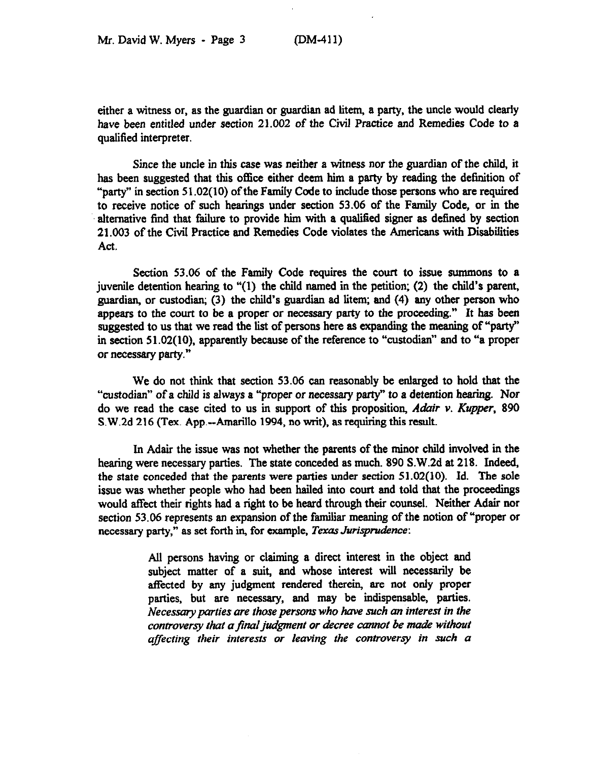either a witness or, as the guardian or guardian ad litem, a party, the uncle would clearly have been entitled under section 21.002 of the Civil Practice and Remedies Code to a qualified interpreter.

*Since* the uncle in this case was neither a witness nor the guardian of the child, it has been suggested that this office either deem him a party by reading the definition of "party" in section  $51.02(10)$  of the Family Code to include those persons who are required to receive notice of such hearings under section 53.06 of the Family Code, or in the alternative find that failure to provide him with a qualified signer as defined by section 21.003 of the Civil Practice and Remedies Code violates the Americans with Disabiities Act.

Section 53.06 of the Family Code requires the court to issue sunnnons to a juvenile detention hearing to "(1) the child named in the petition; (2) the child's parent, guardian, or custodian; (3) the child's guardian ad litem; and (4) any other person who appears to the court to be a proper or necessary party to the proceeding." It has been suggested to us that we read the list of persons here as expanding the meaning of "party" in section 51.02(10), apparently because of the reference to "custodian" and to "a proper or necessary party."

We do not think that section 53.06 can reasonably be enlarged to hold that the "custodian" of a child is always a "proper *or necessary* party" *to* a detention hearing. Nor do we read the case cited to us in support of this proposition, *Adair v. Kupper, 890*  S.W.2d 216 (Tex. App.-Amarillo 1994, no writ), as requiring this result.

In Adair the issue was not whether the parents of the minor child involved in the hearing were necessary parties. The state conceded as much. 890 S.W.Zd at 218. Indeed, the state conceded that the parents were parties under section 51.02(10). Id. The sole issue was whether people who had been hailed into court and told that the proceedings would affect their rights had a right to be heard through their counsel. Neither Adair nor section 53.06 represents an expansion of the familiar meaning of the notion of "proper or necessary party," as set forth in, for example, *Texas Jurispmdence:* 

> All persons having or claiming a direct interest in the object and subject matter of a suit, and whose interest will necessarily be affected by any judgment rendered therein, are not only proper parties, but are necessary, and may be indispensable, parties. Necesscny *parries are those persons who have such an interest in the controversy that a final judgment or decree cannot be made without affecting their interests or leaving the controversy in such a*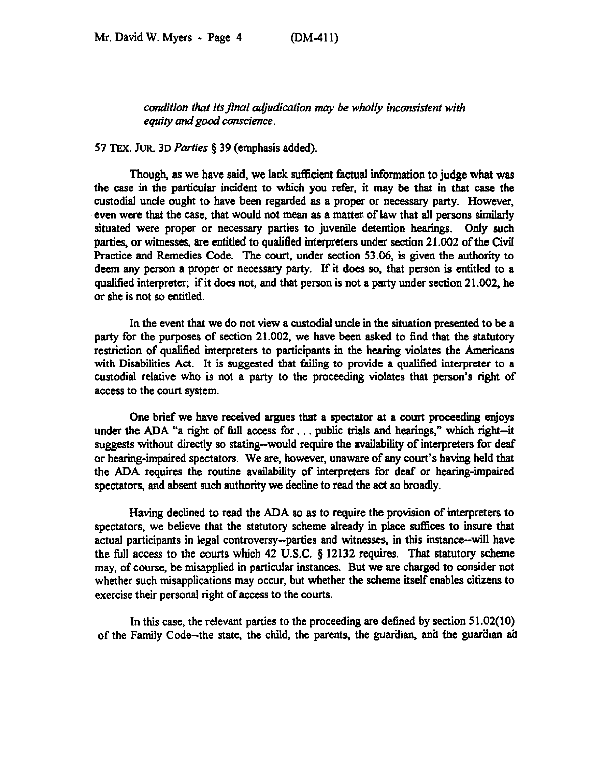condition that its final adjudication may be wholly inconsistent with *equity and good conscience.* 

## 57 TEX. JUR. 3D *Parties* 5 39 (emphasis added).

Though, as we have said, we lack sufficient factual information to judge what was the case in the particular incident to which you refer, it may be that in that case the custodial uncle ought to have been regarded as a proper or necessary party. However, even were that the case, that would not mean as a matter of law that all persons similarly situated were proper or necessary parties to juvenile detention hearings. Only such parties, or witnesses, are entitled to qualified interpreters under section 21.002 of the Civil Practice and Remedies Code. The court, under section 53.06, is given the authority to deem any person a proper or necessary party. If it does so, that person is entitled to a qualified interpreter; if it does not, and that person is not a party under section 21.002, he or she is not so entitled.

In the event that we do not view a custodial uncle in the situation presented to be a party for the purposes of section 21.002, we have been asked to find that the statutory restriction of qualified interpreters to participants in the hearing violates the Americans with Disabilities Act. It is suggested that failing to provide a qualified interpreter to a custodial relative who is not a party to the proceeding violates that person's right of access to the court system.

One brief we have received argues that a spectator at a court proceeding enjoys under the ADA "a right of full access for... public trials and hearings," which right--it suggests without directly so stating-would require the availability of interpreters for deaf or hearing-impaired spectators. We are, however, unaware of any court's having held that the ADA requires the routine availability of interpreters for deaf or hearing-impaired spectators, and absent such authority we decline to read the act so broadly.

Having declined to read the ADA so as to require the provision of interpreters to spectators, we believe that the statutory scheme already in place suffices to insure that actual participants in legal controversy--parties and witnesses, in this instance-will have the full access to the courts which 42 U.S.C.  $\S$  12132 requires. That statutory scheme may, of course, be misapplied in particular instances. But we are charged to consider not whether such misapplications may occur, but whether the scheme itself enables citizens to exercise their personal right of access to the courts.

In this case, the relevant parties to the proceeding are defined by section 51.02(10) of the Family Code--the state, the child, the parents, the guardian, and the guardian ad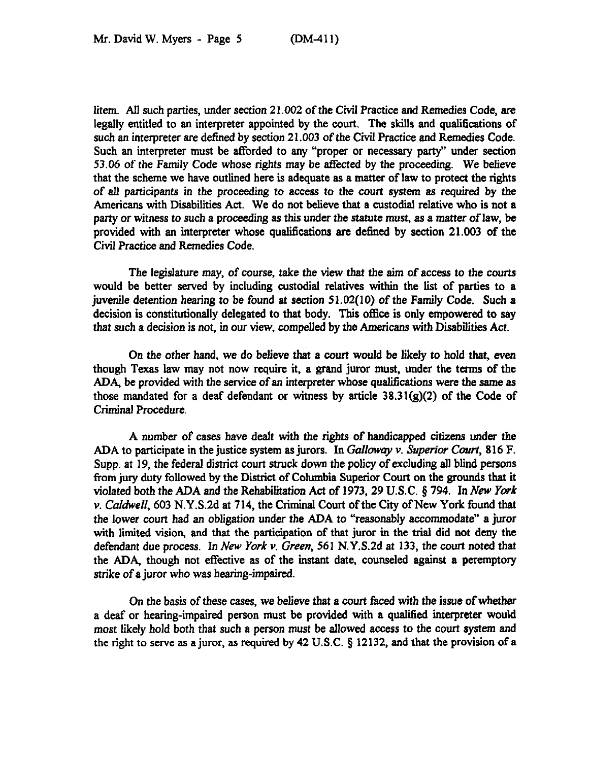litem. All such parties, under section 21.002 of the Civil Practice and Remedies Code, are legally entitled to an interpreter appointed by the court. The skills and qualifications of such an interpreter are defined by section 21.003 of the Civil Practice and Remedies Code. Such an interpreter must be afforded to any "proper or necessary party" under section 53.06 of the Family Code whose rights may be affected by the proceeding. We believe that the scheme we have outlined here is adquate as a matter of law to protect the rights of all participants in the proceeding to access to the court system as required by the Americans with Disabilities Act. We do not believe that a custodial relative who is not a party or witness to such a proceeding as this under the statute must, as a matter of law, be provided with an interpreter whose qualifications are defined by section 21.003 of the Civil Practice and Remedies Code.

The legislature may, of course, take the view that the aim of access to the courts would be better served by including custodial relatives within the list of parties to a juvenile detention hearing to be found at *section* 51.02(10) of the Family Code. Such a decision is constitutionally delegated to that body. This office is only empowered to say that such a decision is not, in our view, compelled by the Americans with Disabilities Act.

*On* the other hand, we do believe that a court would be likely to hold that, even though Texas law may not now require it, a grand juror must, under the terms of the ADA, be provided with the service of an interpreter whose qualifications *were the same as*  those mandated for a deaf defendant or witness by article 38.31(g)(2) of the Code of Criminal Procedure.

A number of cases have dealt with the rights of handicapped citizens under the ADA to participate in the justice system as jurors. In Galloway v. Superior Court, 816 F. Supp. at 19, the federal district court struck down the policy of excluding all blind persons from jury duty followed by the District of Columbia Superior Court on the grounds that it violated both the ADA and the Rehabilitation Act of 1973,29 U.S.C. @ 794. In New York  $v.$  Caldwell, 603 N.Y.S.2d at 714, the Criminal Court of the City of New York found that the lower court had an obligation under the ADA to "reasonably accommodate" a juror with limited vision, and that the participation of that juror in the trial did not deny the defendant due process. *In New York v. Green, 561* N.Y.S.Zd at 133, the court *noted* that the ADA, though not effective as of the instant date, counseled against a peremptory strike of a juror who was hearing-impaired.

*On* the basis of these cases, we believe that a court faced with the issue of whether a deaf or hearing-impaired person *must* be provided with a qualiied interpreter would most likely hold both that such a person must be allowed access to the court system and the right to serve as a juror, as required by 42 U.S.C. § 12132, and that the provision of a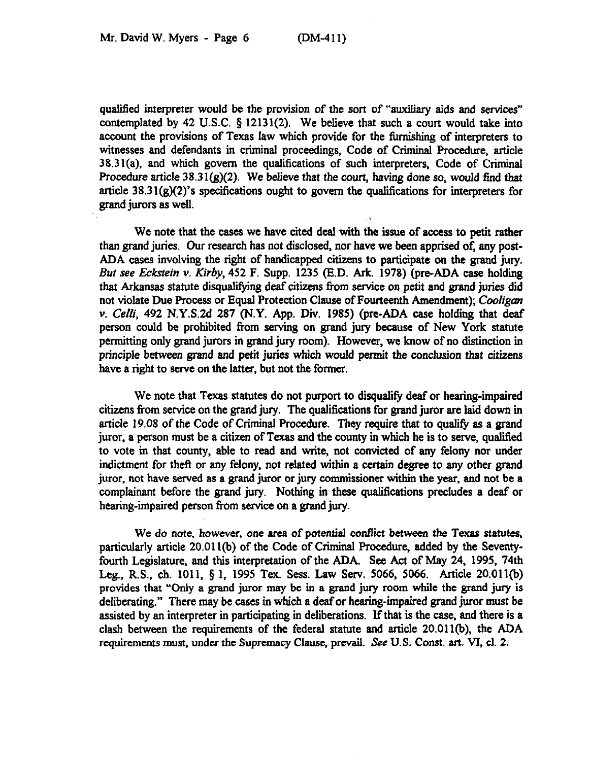qualified interpreter would be the provision of the sort of "auxiliary aids and services" contemplated by 42 U.S.C.  $\S$  12131(2). We believe that such a court would take into account the provisions of Texas law which provide for the finnishing of interpreters to witnesses and defendants in criminal proceedings, Code of Criminal Procedure, article 38.31(a), and which govern the qualifications of such interpreters, Code of Criminal Procedure article  $38.31(g)(2)$ . We believe that the court, having done so, would find that article  $38.31(g)(2)$ 's specifications ought to govern the qualifications for interpreters for grand jurors as well.

We note that the cases we have cited deal with the issue of access to petit rather than grand juries. Our research has not disclosed, nor have we been apprised of, any post-ADA cases involving the right of handicapped citizens to participate on the grand jury. *But see E&stein v. Kirby, 452* F. Supp. 1235 (E.D. Ark. 1978) (pre-ADA case holding that Arkansas statute disqualifyng deaf citizens from service on petit and grand juries did not violate Due Process or Equal Protection Clause of Fourteenth Amendment); *Cooligun*  v. *Celli*, 492 N.Y.S.2d 287 (N.Y. App. Div. 1985) (pre-ADA case holding that deaf person could be prohibited from serving on grand jury because of New York statute permitting only grand jurors in grand jury room). However, we know of no distinction in principle between grand and petit juries which would permit the conclusion *that citizens*  have a right to serve on the latter, but not the former.

We note that Texas statutes do not purport to disqualify deaf or hearing-impaired citizens from service on the grand jury. The qualifications for grand juror are laid down in article 19.08 of the Code of Criminal Procedure. They require that to qualify as a grand juror, a person must be a citizen of Texas and the county in which he is to serve, qualified to vote in that county, able to read and write, not convicted of any felony nor under indictment for theft or any felony, not related within a certain degree to any other grand juror, not have served as a grand juror or jury commissioner within the year, and not be a complainant before the grand jury. Nothing in these qualifications precludes a deaf or hearing-impaired person from service on a grand jury.

We do *note,* however, one area of potential confiict between the Texas statutes, particularly article 20.01 l(b) of the Code of Criminal Procedure, added by the Seventyfourth Legislature, and this interpretation of the ADA. See Act of May 24, 1995, 74th Leg., R.S., ch. 1011, 5 1, 1995 Tex. Sess. Law Serv. 5066, 5066. Article 20.011(b) provides that "Only a grand juror may be in a grand jury room while the grand jury is deliberating." There may be cases in which a deafor hearing-impaired grand juror must be assisted by an interpreter in participating in deliberations. If that is the case, and there is a clash between the requirements of the federal statute and article 20.011(b), the ADA requirements must, under the Supremacy Clause, prevail. See U.S. Const. art. VI, cl. 2.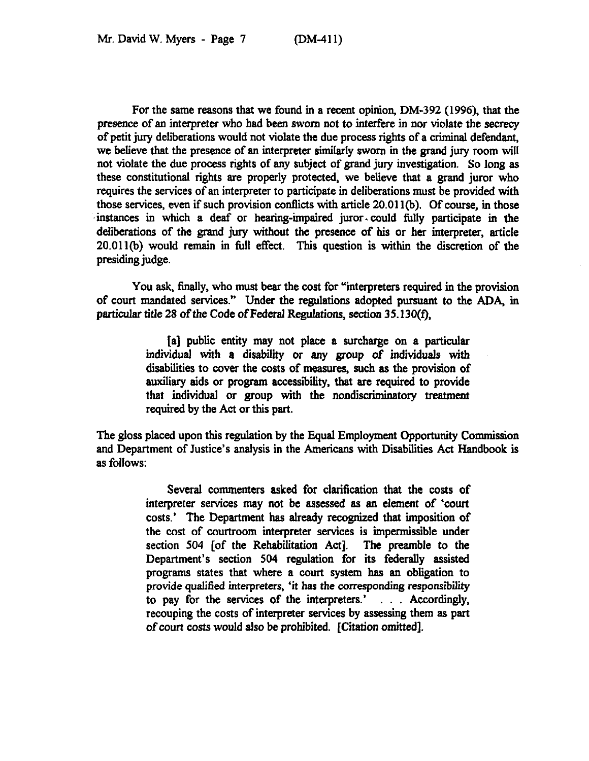For the same reasons that we found in a recent opinion, DM-392 (1996), that the presence of an interpreter who had been sworn not to interfere in nor violate the secrecy of petit jury deliberations would not violate the due process rights of a criminal defendant, we believe that the presence of an interpreter similarly sworn in the grand jury room will not violate the due process rights of any subject of grand jury investigation. So long as these constitutional rights are properly protected, we believe that a grand juror who requires the services of an interpreter to participate in deliberations must be provided with those services, even if such provision contlicts with article 20.01 l(b). Of course, in those  $\frac{m}{s}$ . The set vices, even in such provision connects with a nete 20.011(0). Of course, in those instances in which a deaf or hearing-impaired juror-could fully participate in the deliberations of the grand jury without the presence of his or her interpreter, article 20.011(b) would remain in full effect. This question is within the discretion of the presiding judge.

You ask, finally, who must bear the cost for "interpreters required in the provision of court mandated services." Under the regulations adopted pursuant to the ADA, in particular title 28 of the Code of Federal Regulations, *section 35.130(f),* 

> [a] public entity may not place a surcharge on a particular individual with a disability or any group of individuals with disabilities to cover the costs of measures, such as the provision of auxiliary aids or program accessibility, that are required to provide that individual or group with the nondiscriminatory treatment required by the Act or this part.

The gloss placed upon this regulation by the Equal Employment Opportunity Commission and Department of Justice's analysis in the Americans with Disabilities Act Handbook is as follows:

> Several commenters asked for clarification that the costs of interpreter services may not be assessed as an element of 'court costs.' The Department has already recognized that imposition of the cost of courtroom interpreter services is impermissible under section 504 [of the Rehabilitation Act]. The preamble to the Department's section 504 regulation for its federally assisted programs states that where a court system has an obligation to provide qualified interpreters, 'it has the corresponding responsibility to pay for the services of the interpreters.' . . . Accordingly, recouping the costs of interpreter services by assessing them as part of court costs would also be prohibited. [Citation omitted].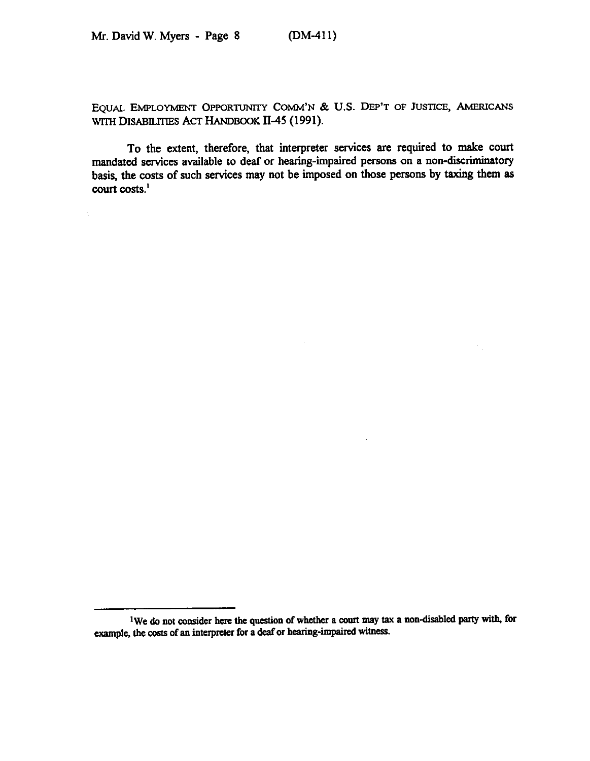$\epsilon$ 

EQUAL EMPLOYMENT OPPORTUNITY COMM'N & U.S. DEP'T OF JUSTICE, AMERICANS WITH DISABILITIES ACT HANDBOOK II-45 (1991).

To the extent, therefore, that interpreter services are required to make court mandated services available to deaf or hearing-impaired persons on a non-discriminatory basis, the costs of such services may not be imposed on those persons by taxing them as court costs.'

<sup>&</sup>lt;sup>1</sup>We do not consider here the question of whether a court may tax a non-disabled party with, for example, the costs of an interpreter for a deaf or hearing-impaired witness.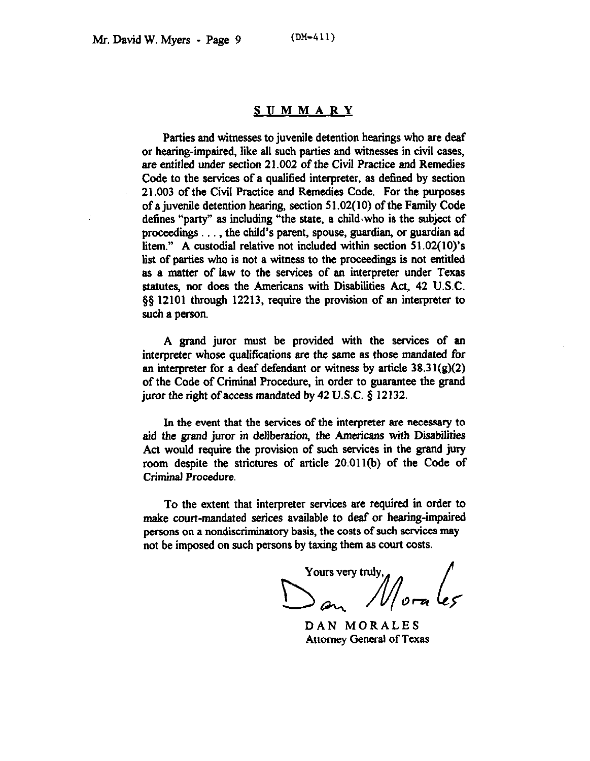## **SUMMARY**

Parties and witnesses to juvenile detention hearings who are deaf or hearing-impaired, like all such parties and witnesses in civil cases, are entitled under section 21.002 of the Civil Practice and Remedies Code to the services of a qualified interpreter, as defined by section 21.003 of the Civil Practice and Remedies Code. For the purposes of a juvenile detention hearing, section 5 1.02(10) of the Family Code defines "party" as including "the state, a child.who is the subject of proceedings . . . , the child's parent, spouse, guardian, or guardian ad litem." A custodial relative not included within section 51.02(10)'s list of parties who is not a witness to the proceedings is not entitled as a matter of law to the services of an interpreter under Texas statutes, nor does the Americans with Disabilities Act, 42 U.S.C. \$5 12101 through 12213, require the provision of an interpreter to such a person.

A grand juror must be provided with the services of an interpreter whose qualifications are the same as those mandated for an interpreter for a deaf defendant or witness by article  $38.31(g)(2)$ of the Code of Criminal Procedure, in order to guarantee the grand juror the right of access mandated by 42 U.S.C.  $\S$  12132.

In the event that the services of the interpreter are necessary to aid the grand juror *in* deliberation, the Americans with Disabilities Act would require the provision of such services in the grand jury room despite the strictures of article 20.011(h) of the Code of Criminal Procedure.

To the extent that interpreter services are required in order to make court-mandated serices available to deaf or hearing-impaired persons on a nondiscriminatory basis, the costs of such services may not be imposed on such persons by taxing them as court costs.

Yours very truly,<br>San Morales

DAN MORALES Attorney General of Texas